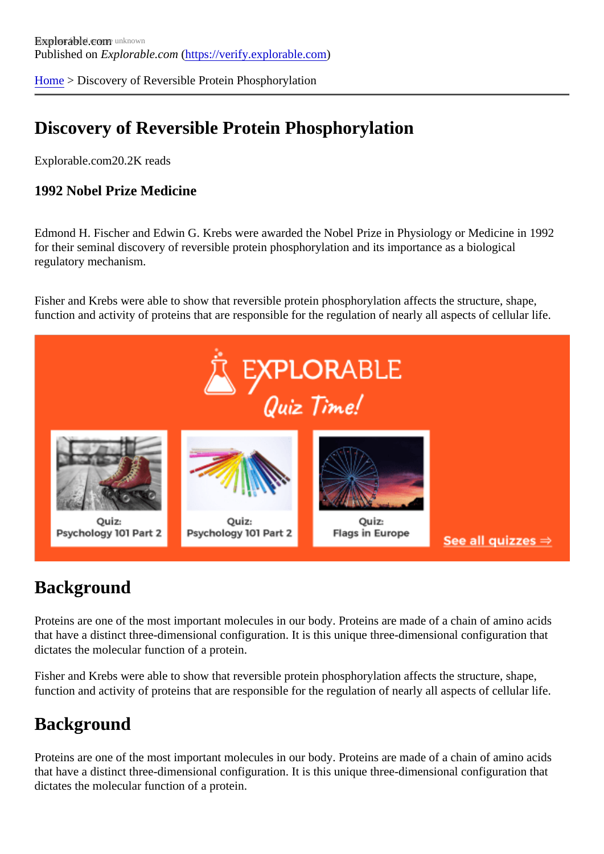[Home](https://verify.explorable.com/) > Discovery of Reversible Protein Phosphorylation

## Discovery of Reversible Protein Phosphorylation

Explorable.com20.2K reads

1992 Nobel Prize Medicine

Edmond H. Fischer and Edwin G. Krebs were awarded the Nobel Prize in Physiology or Medicine in 1992 for their seminal discovery of reversible protein phosphorylation and its importance as a biological regulatory mechanism.

Fisher and Krebs were able to show that reversible protein phosphorylation affects the structure, shape, function and activity of proteins that are responsible for the regulation of nearly all aspects of cellular life.

## **Background**

Proteins are one of the most important molecules in our body. Proteins are made of a chain of amino acide that have a distinct three-dimensional configuration. It is this unique three-dimensional configuration that dictates the molecular function of a protein.

Fisher and Krebs were able to show that reversible protein phosphorylation affects the structure, shape, function and activity of proteins that are responsible for the regulation of nearly all aspects of cellular life.

## **Background**

Proteins are one of the most important molecules in our body. Proteins are made of a chain of amino acids that have a distinct three-dimensional configuration. It is this unique three-dimensional configuration that dictates the molecular function of a protein.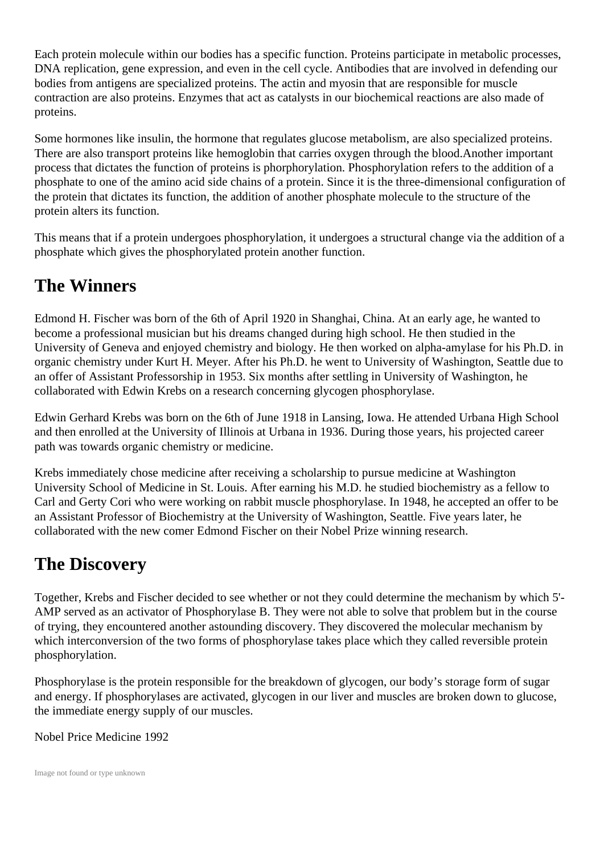Each protein molecule within our bodies has a specific function. Proteins participate in metabolic processes, DNA replication, gene expression, and even in the cell cycle. Antibodies that are involved in defending our bodies from antigens are specialized proteins. The actin and myosin that are responsible for muscle contraction are also proteins. Enzymes that act as catalysts in our biochemical reactions are also made of proteins.

Some hormones like insulin, the hormone that regulates glucose metabolism, are also specialized proteins. There are also transport proteins like hemoglobin that carries oxygen through the blood.Another important process that dictates the function of proteins is phorphorylation. Phosphorylation refers to the addition of a phosphate to one of the amino acid side chains of a protein. Since it is the three-dimensional configuration of the protein that dictates its function, the addition of another phosphate molecule to the structure of the protein alters its function.

This means that if a protein undergoes phosphorylation, it undergoes a structural change via the addition of a phosphate which gives the phosphorylated protein another function.

#### **The Winners**

Edmond H. Fischer was born of the 6th of April 1920 in Shanghai, China. At an early age, he wanted to become a professional musician but his dreams changed during high school. He then studied in the University of Geneva and enjoyed chemistry and biology. He then worked on alpha-amylase for his Ph.D. in organic chemistry under Kurt H. Meyer. After his Ph.D. he went to University of Washington, Seattle due to an offer of Assistant Professorship in 1953. Six months after settling in University of Washington, he collaborated with Edwin Krebs on a research concerning glycogen phosphorylase.

Edwin Gerhard Krebs was born on the 6th of June 1918 in Lansing, Iowa. He attended Urbana High School and then enrolled at the University of Illinois at Urbana in 1936. During those years, his projected career path was towards organic chemistry or medicine.

Krebs immediately chose medicine after receiving a scholarship to pursue medicine at Washington University School of Medicine in St. Louis. After earning his M.D. he studied biochemistry as a fellow to Carl and Gerty Cori who were working on rabbit muscle phosphorylase. In 1948, he accepted an offer to be an Assistant Professor of Biochemistry at the University of Washington, Seattle. Five years later, he collaborated with the new comer Edmond Fischer on their Nobel Prize winning research.

## **The Discovery**

Together, Krebs and Fischer decided to see whether or not they could determine the mechanism by which 5'- AMP served as an activator of Phosphorylase B. They were not able to solve that problem but in the course of trying, they encountered another astounding discovery. They discovered the molecular mechanism by which interconversion of the two forms of phosphorylase takes place which they called reversible protein phosphorylation.

Phosphorylase is the protein responsible for the breakdown of glycogen, our body's storage form of sugar and energy. If phosphorylases are activated, glycogen in our liver and muscles are broken down to glucose, the immediate energy supply of our muscles.

Nobel Price Medicine 1992

Image not found or type unknown